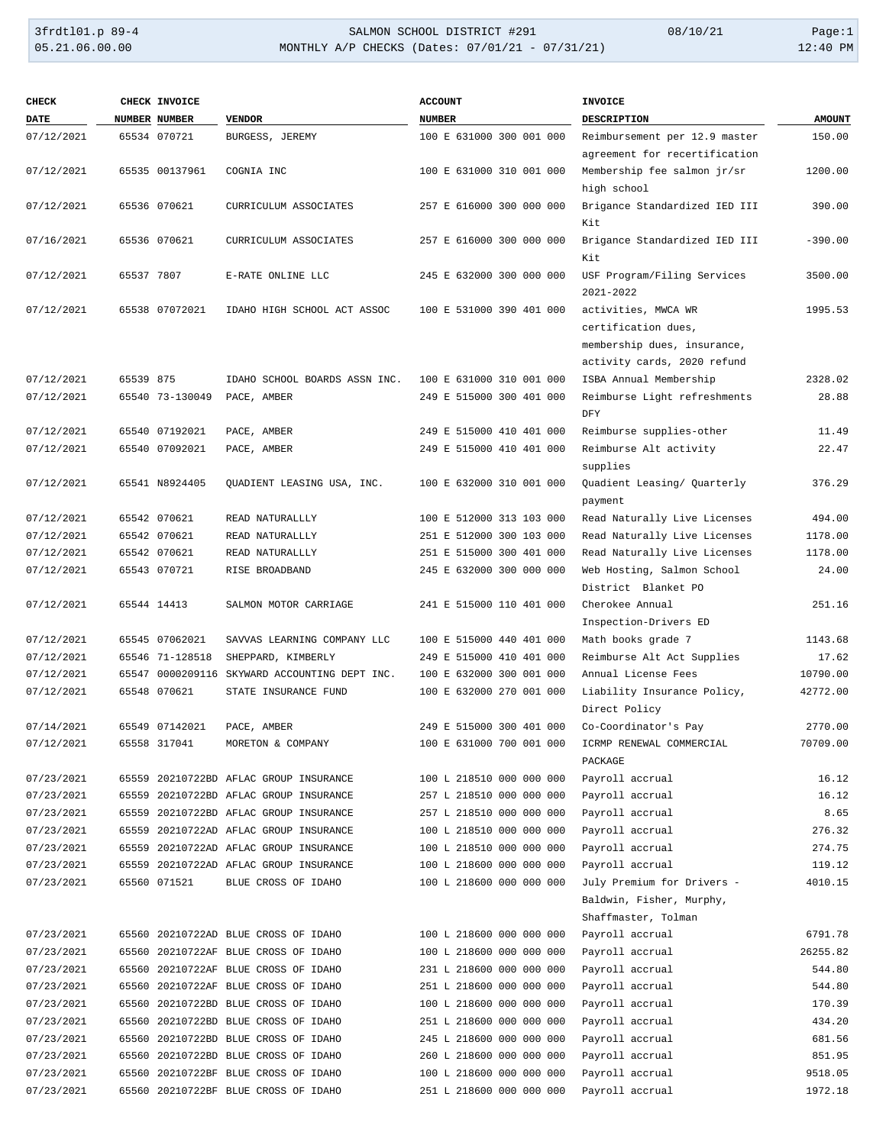| <b>CHECK</b> |            | CHECK INVOICE   |                                               | <b>ACCOUNT</b>           | <b>INVOICE</b>                                                            |               |
|--------------|------------|-----------------|-----------------------------------------------|--------------------------|---------------------------------------------------------------------------|---------------|
| DATE         |            | NUMBER NUMBER   | <b>VENDOR</b>                                 | <b>NUMBER</b>            | DESCRIPTION                                                               | <b>AMOUNT</b> |
| 07/12/2021   |            | 65534 070721    | BURGESS, JEREMY                               | 100 E 631000 300 001 000 | Reimbursement per 12.9 master<br>agreement for recertification            | 150.00        |
| 07/12/2021   |            | 65535 00137961  | COGNIA INC                                    | 100 E 631000 310 001 000 | Membership fee salmon jr/sr<br>high school                                | 1200.00       |
| 07/12/2021   |            | 65536 070621    | CURRICULUM ASSOCIATES                         | 257 E 616000 300 000 000 | Brigance Standardized IED III<br>Kit                                      | 390.00        |
| 07/16/2021   |            | 65536 070621    | CURRICULUM ASSOCIATES                         | 257 E 616000 300 000 000 | Brigance Standardized IED III<br>Kit                                      | $-390.00$     |
| 07/12/2021   | 65537 7807 |                 | E-RATE ONLINE LLC                             | 245 E 632000 300 000 000 | USF Program/Filing Services<br>2021-2022                                  | 3500.00       |
| 07/12/2021   |            | 65538 07072021  | IDAHO HIGH SCHOOL ACT ASSOC                   | 100 E 531000 390 401 000 | activities, MWCA WR<br>certification dues,<br>membership dues, insurance, | 1995.53       |
|              |            |                 |                                               |                          | activity cards, 2020 refund                                               |               |
| 07/12/2021   | 65539 875  |                 | IDAHO SCHOOL BOARDS ASSN INC.                 | 100 E 631000 310 001 000 | ISBA Annual Membership                                                    | 2328.02       |
| 07/12/2021   |            | 65540 73-130049 | PACE, AMBER                                   | 249 E 515000 300 401 000 | Reimburse Light refreshments<br>DFY                                       | 28.88         |
| 07/12/2021   |            | 65540 07192021  | PACE, AMBER                                   | 249 E 515000 410 401 000 | Reimburse supplies-other                                                  | 11.49         |
| 07/12/2021   |            | 65540 07092021  | PACE, AMBER                                   | 249 E 515000 410 401 000 | Reimburse Alt activity<br>supplies                                        | 22.47         |
| 07/12/2021   |            | 65541 N8924405  | QUADIENT LEASING USA, INC.                    | 100 E 632000 310 001 000 | Quadient Leasing/ Quarterly<br>payment                                    | 376.29        |
| 07/12/2021   |            | 65542 070621    | READ NATURALLLY                               | 100 E 512000 313 103 000 | Read Naturally Live Licenses                                              | 494.00        |
| 07/12/2021   |            | 65542 070621    | READ NATURALLLY                               | 251 E 512000 300 103 000 | Read Naturally Live Licenses                                              | 1178.00       |
| 07/12/2021   |            | 65542 070621    | READ NATURALLLY                               | 251 E 515000 300 401 000 | Read Naturally Live Licenses                                              | 1178.00       |
| 07/12/2021   |            | 65543 070721    | RISE BROADBAND                                | 245 E 632000 300 000 000 | Web Hosting, Salmon School<br>District Blanket PO                         | 24.00         |
| 07/12/2021   |            | 65544 14413     | SALMON MOTOR CARRIAGE                         | 241 E 515000 110 401 000 | Cherokee Annual<br>Inspection-Drivers ED                                  | 251.16        |
| 07/12/2021   |            | 65545 07062021  | SAVVAS LEARNING COMPANY LLC                   | 100 E 515000 440 401 000 | Math books grade 7                                                        | 1143.68       |
| 07/12/2021   |            | 65546 71-128518 | SHEPPARD, KIMBERLY                            | 249 E 515000 410 401 000 | Reimburse Alt Act Supplies                                                | 17.62         |
| 07/12/2021   |            |                 | 65547 0000209116 SKYWARD ACCOUNTING DEPT INC. | 100 E 632000 300 001 000 | Annual License Fees                                                       | 10790.00      |
| 07/12/2021   |            | 65548 070621    | STATE INSURANCE FUND                          | 100 E 632000 270 001 000 | Liability Insurance Policy,<br>Direct Policy                              | 42772.00      |
| 07/14/2021   |            | 65549 07142021  | PACE, AMBER                                   | 249 E 515000 300 401 000 | Co-Coordinator's Pay                                                      | 2770.00       |
| 07/12/2021   |            | 65558 317041    | MORETON & COMPANY                             | 100 E 631000 700 001 000 | ICRMP RENEWAL COMMERCIAL<br>PACKAGE                                       | 70709.00      |
| 07/23/2021   | 65559      |                 | 20210722BD AFLAC GROUP INSURANCE              | 100 L 218510 000 000 000 | Payroll accrual                                                           | 16.12         |
| 07/23/2021   |            |                 | 65559 20210722BD AFLAC GROUP INSURANCE        | 257 L 218510 000 000 000 | Payroll accrual                                                           | 16.12         |
| 07/23/2021   |            |                 | 65559 20210722BD AFLAC GROUP INSURANCE        | 257 L 218510 000 000 000 | Payroll accrual                                                           | 8.65          |
| 07/23/2021   |            |                 | 65559 20210722AD AFLAC GROUP INSURANCE        | 100 L 218510 000 000 000 | Payroll accrual                                                           | 276.32        |
| 07/23/2021   |            |                 | 65559 20210722AD AFLAC GROUP INSURANCE        | 100 L 218510 000 000 000 | Payroll accrual                                                           | 274.75        |
| 07/23/2021   |            |                 | 65559 20210722AD AFLAC GROUP INSURANCE        | 100 L 218600 000 000 000 | Payroll accrual                                                           | 119.12        |
| 07/23/2021   |            | 65560 071521    | BLUE CROSS OF IDAHO                           | 100 L 218600 000 000 000 | July Premium for Drivers -                                                | 4010.15       |
|              |            |                 |                                               |                          | Baldwin, Fisher, Murphy,<br>Shaffmaster, Tolman                           |               |
| 07/23/2021   |            |                 | 65560 20210722AD BLUE CROSS OF IDAHO          | 100 L 218600 000 000 000 | Payroll accrual                                                           | 6791.78       |
| 07/23/2021   |            |                 | 65560 20210722AF BLUE CROSS OF IDAHO          | 100 L 218600 000 000 000 | Payroll accrual                                                           | 26255.82      |
| 07/23/2021   |            |                 | 65560 20210722AF BLUE CROSS OF IDAHO          | 231 L 218600 000 000 000 | Payroll accrual                                                           | 544.80        |
| 07/23/2021   |            |                 | 65560 20210722AF BLUE CROSS OF IDAHO          | 251 L 218600 000 000 000 | Payroll accrual                                                           | 544.80        |
| 07/23/2021   |            |                 | 65560 20210722BD BLUE CROSS OF IDAHO          | 100 L 218600 000 000 000 | Payroll accrual                                                           | 170.39        |
| 07/23/2021   |            |                 | 65560 20210722BD BLUE CROSS OF IDAHO          | 251 L 218600 000 000 000 | Payroll accrual                                                           | 434.20        |
| 07/23/2021   |            |                 | 65560 20210722BD BLUE CROSS OF IDAHO          | 245 L 218600 000 000 000 | Payroll accrual                                                           | 681.56        |
| 07/23/2021   |            |                 | 65560 20210722BD BLUE CROSS OF IDAHO          | 260 L 218600 000 000 000 | Payroll accrual                                                           | 851.95        |
| 07/23/2021   |            |                 | 65560 20210722BF BLUE CROSS OF IDAHO          | 100 L 218600 000 000 000 | Payroll accrual                                                           | 9518.05       |
| 07/23/2021   |            |                 | 65560 20210722BF BLUE CROSS OF IDAHO          | 251 L 218600 000 000 000 | Payroll accrual                                                           | 1972.18       |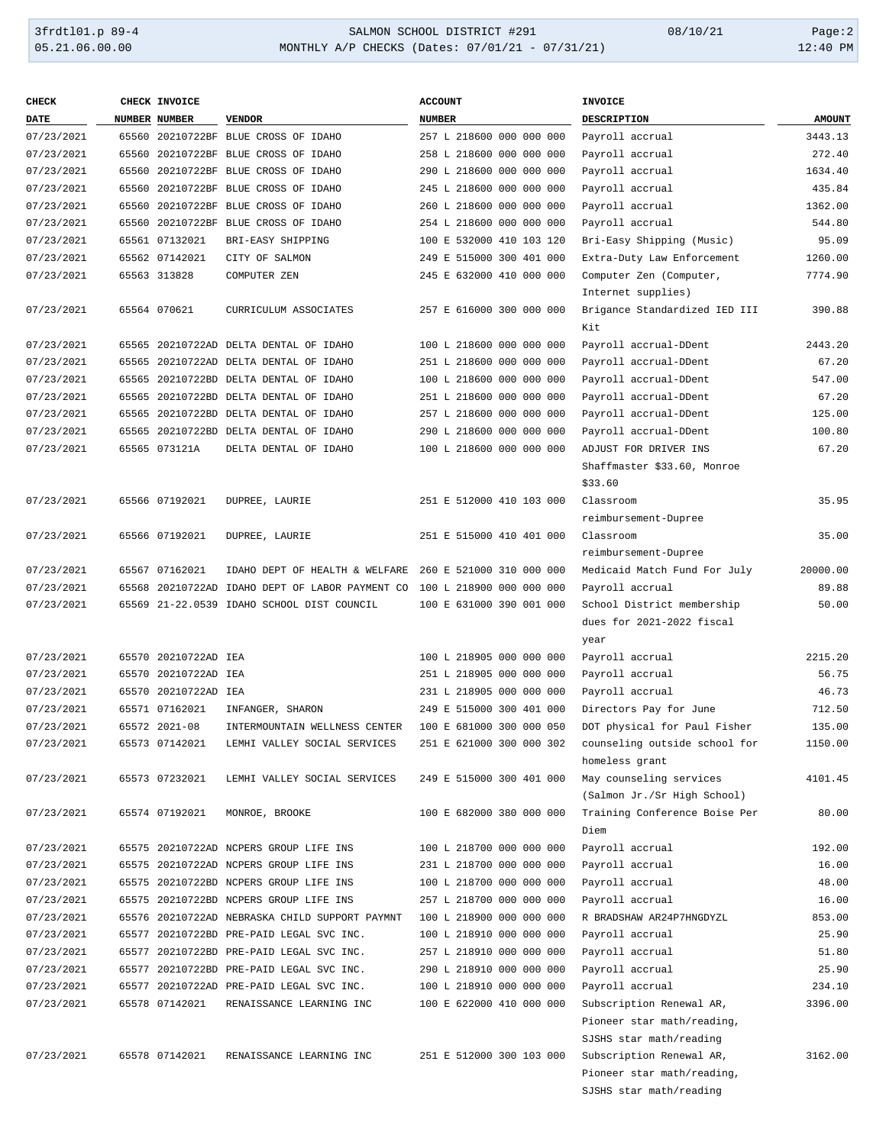| <b>CHECK</b> | CHECK INVOICE        |                                                                          | <b>ACCOUNT</b>           | <b>INVOICE</b>                                |               |
|--------------|----------------------|--------------------------------------------------------------------------|--------------------------|-----------------------------------------------|---------------|
| <b>DATE</b>  | <b>NUMBER NUMBER</b> | <b>VENDOR</b>                                                            | <b>NUMBER</b>            | <b>DESCRIPTION</b>                            | <b>AMOUNT</b> |
| 07/23/2021   |                      | 65560 20210722BF BLUE CROSS OF IDAHO                                     | 257 L 218600 000 000 000 | Payroll accrual                               | 3443.13       |
| 07/23/2021   |                      | 65560 20210722BF BLUE CROSS OF IDAHO                                     | 258 L 218600 000 000 000 | Payroll accrual                               | 272.40        |
| 07/23/2021   |                      | 65560 20210722BF BLUE CROSS OF IDAHO                                     | 290 L 218600 000 000 000 | Payroll accrual                               | 1634.40       |
| 07/23/2021   |                      | 65560 20210722BF BLUE CROSS OF IDAHO                                     | 245 L 218600 000 000 000 | Payroll accrual                               | 435.84        |
| 07/23/2021   |                      | 65560 20210722BF BLUE CROSS OF IDAHO                                     | 260 L 218600 000 000 000 | Payroll accrual                               | 1362.00       |
| 07/23/2021   |                      | 65560 20210722BF BLUE CROSS OF IDAHO                                     | 254 L 218600 000 000 000 | Payroll accrual                               | 544.80        |
|              |                      |                                                                          |                          |                                               |               |
| 07/23/2021   | 65561 07132021       | BRI-EASY SHIPPING                                                        | 100 E 532000 410 103 120 | Bri-Easy Shipping (Music)                     | 95.09         |
| 07/23/2021   | 65562 07142021       | CITY OF SALMON                                                           | 249 E 515000 300 401 000 | Extra-Duty Law Enforcement                    | 1260.00       |
| 07/23/2021   | 65563 313828         | COMPUTER ZEN                                                             | 245 E 632000 410 000 000 | Computer Zen (Computer,<br>Internet supplies) | 7774.90       |
| 07/23/2021   | 65564 070621         | CURRICULUM ASSOCIATES                                                    | 257 E 616000 300 000 000 | Brigance Standardized IED III<br>Kit          | 390.88        |
| 07/23/2021   |                      | 65565 20210722AD DELTA DENTAL OF IDAHO                                   | 100 L 218600 000 000 000 | Payroll accrual-DDent                         | 2443.20       |
| 07/23/2021   |                      | 65565 20210722AD DELTA DENTAL OF IDAHO                                   | 251 L 218600 000 000 000 | Payroll accrual-DDent                         | 67.20         |
| 07/23/2021   |                      | 65565 20210722BD DELTA DENTAL OF IDAHO                                   | 100 L 218600 000 000 000 | Payroll accrual-DDent                         | 547.00        |
| 07/23/2021   |                      | 65565 20210722BD DELTA DENTAL OF IDAHO                                   | 251 L 218600 000 000 000 | Payroll accrual-DDent                         | 67.20         |
| 07/23/2021   |                      | 65565 20210722BD DELTA DENTAL OF IDAHO                                   | 257 L 218600 000 000 000 | Payroll accrual-DDent                         | 125.00        |
| 07/23/2021   |                      | 65565 20210722BD DELTA DENTAL OF IDAHO                                   | 290 L 218600 000 000 000 | Payroll accrual-DDent                         | 100.80        |
| 07/23/2021   | 65565 073121A        | DELTA DENTAL OF IDAHO                                                    | 100 L 218600 000 000 000 | ADJUST FOR DRIVER INS                         | 67.20         |
|              |                      |                                                                          |                          | Shaffmaster \$33.60, Monroe                   |               |
|              |                      |                                                                          |                          | \$33.60                                       |               |
| 07/23/2021   | 65566 07192021       | DUPREE, LAURIE                                                           | 251 E 512000 410 103 000 | Classroom                                     | 35.95         |
|              |                      |                                                                          |                          | reimbursement-Dupree                          |               |
| 07/23/2021   | 65566 07192021       | DUPREE, LAURIE                                                           | 251 E 515000 410 401 000 | Classroom                                     | 35.00         |
|              |                      |                                                                          |                          | reimbursement-Dupree                          |               |
| 07/23/2021   | 65567 07162021       | IDAHO DEPT OF HEALTH & WELFARE                                           | 260 E 521000 310 000 000 | Medicaid Match Fund For July                  | 20000.00      |
| 07/23/2021   |                      | 65568 20210722AD IDAHO DEPT OF LABOR PAYMENT CO 100 L 218900 000 000 000 |                          | Payroll accrual                               | 89.88         |
| 07/23/2021   |                      | 65569 21-22.0539 IDAHO SCHOOL DIST COUNCIL                               | 100 E 631000 390 001 000 | School District membership                    | 50.00         |
|              |                      |                                                                          |                          | dues for 2021-2022 fiscal<br>year             |               |
| 07/23/2021   | 65570 20210722AD IEA |                                                                          | 100 L 218905 000 000 000 | Payroll accrual                               | 2215.20       |
| 07/23/2021   | 65570 20210722AD IEA |                                                                          | 251 L 218905 000 000 000 | Payroll accrual                               | 56.75         |
| 07/23/2021   | 65570 20210722AD IEA |                                                                          | 231 L 218905 000 000 000 | Payroll accrual                               | 46.73         |
| 07/23/2021   | 65571 07162021       | INFANGER, SHARON                                                         | 249 E 515000 300 401 000 | Directors Pay for June                        | 712.50        |
| 07/23/2021   | 65572 2021-08        | INTERMOUNTAIN WELLNESS CENTER                                            | 100 E 681000 300 000 050 | DOT physical for Paul Fisher                  | 135.00        |
| 07/23/2021   | 65573 07142021       | LEMHI VALLEY SOCIAL SERVICES                                             | 251 E 621000 300 000 302 | counseling outside school for                 | 1150.00       |
|              |                      |                                                                          |                          | homeless grant                                |               |
| 07/23/2021   | 65573 07232021       | LEMHI VALLEY SOCIAL SERVICES                                             | 249 E 515000 300 401 000 | May counseling services                       | 4101.45       |
|              |                      |                                                                          |                          | (Salmon Jr./Sr High School)                   |               |
| 07/23/2021   | 65574 07192021       | MONROE, BROOKE                                                           | 100 E 682000 380 000 000 | Training Conference Boise Per                 | 80.00         |
|              |                      |                                                                          |                          | Diem                                          |               |
| 07/23/2021   |                      | 65575 20210722AD NCPERS GROUP LIFE INS                                   | 100 L 218700 000 000 000 | Payroll accrual                               | 192.00        |
| 07/23/2021   |                      | 65575 20210722AD NCPERS GROUP LIFE INS                                   | 231 L 218700 000 000 000 | Payroll accrual                               | 16.00         |
| 07/23/2021   |                      | 65575 20210722BD NCPERS GROUP LIFE INS                                   | 100 L 218700 000 000 000 | Payroll accrual                               | 48.00         |
| 07/23/2021   |                      | 65575 20210722BD NCPERS GROUP LIFE INS                                   | 257 L 218700 000 000 000 | Payroll accrual                               | 16.00         |
| 07/23/2021   |                      | 65576 20210722AD NEBRASKA CHILD SUPPORT PAYMNT                           | 100 L 218900 000 000 000 | R BRADSHAW AR24P7HNGDYZL                      | 853.00        |
| 07/23/2021   |                      | 65577 20210722BD PRE-PAID LEGAL SVC INC.                                 | 100 L 218910 000 000 000 | Payroll accrual                               | 25.90         |
| 07/23/2021   |                      | 65577 20210722BD PRE-PAID LEGAL SVC INC.                                 | 257 L 218910 000 000 000 | Payroll accrual                               | 51.80         |
| 07/23/2021   |                      | 65577 20210722BD PRE-PAID LEGAL SVC INC.                                 | 290 L 218910 000 000 000 | Payroll accrual                               | 25.90         |
| 07/23/2021   |                      | 65577 20210722AD PRE-PAID LEGAL SVC INC.                                 | 100 L 218910 000 000 000 | Payroll accrual                               | 234.10        |
| 07/23/2021   | 65578 07142021       | RENAISSANCE LEARNING INC                                                 | 100 E 622000 410 000 000 | Subscription Renewal AR,                      | 3396.00       |
|              |                      |                                                                          |                          | Pioneer star math/reading,                    |               |
|              |                      |                                                                          |                          | SJSHS star math/reading                       |               |
| 07/23/2021   | 65578 07142021       | RENAISSANCE LEARNING INC                                                 | 251 E 512000 300 103 000 | Subscription Renewal AR,                      | 3162.00       |
|              |                      |                                                                          |                          | Pioneer star math/reading,                    |               |
|              |                      |                                                                          |                          | SJSHS star math/reading                       |               |
|              |                      |                                                                          |                          |                                               |               |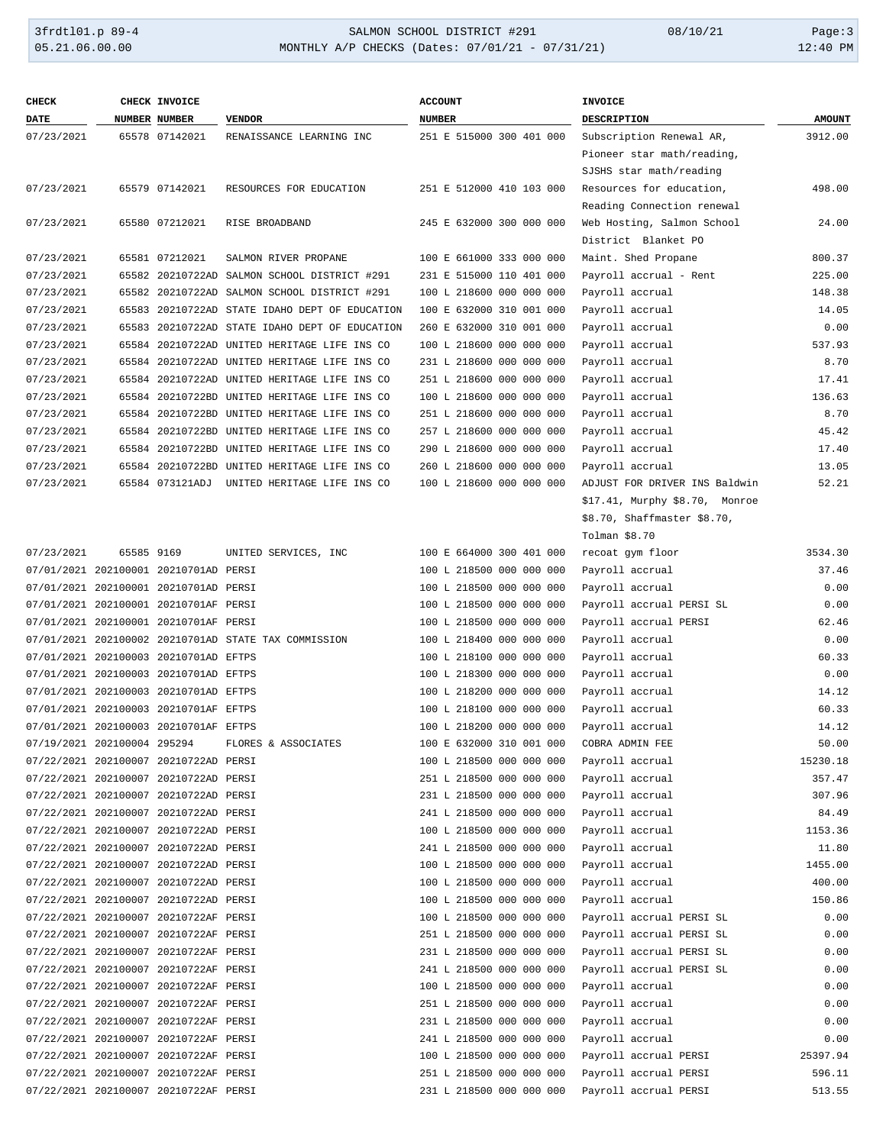# 3frdtl01.p 89-4 <br>
35.21.06.00.00 <br>
341 MONTHLY A/P CHECKS (Dates: 07/01/21 - 07/31/21) 08/10/21 12:40 PM MONTHLY A/P CHECKS (Dates: 07/01/21 - 07/31/21)

| <b>CHECK</b>                |            | <b>CHECK INVOICE</b>                  |                                                      | <b>ACCOUNT</b>           | <b>INVOICE</b>                 |               |
|-----------------------------|------------|---------------------------------------|------------------------------------------------------|--------------------------|--------------------------------|---------------|
| <b>DATE</b>                 |            | NUMBER NUMBER                         | <b>VENDOR</b>                                        | <b>NUMBER</b>            | <b>DESCRIPTION</b>             | <b>AMOUNT</b> |
| 07/23/2021                  |            | 65578 07142021                        | RENAISSANCE LEARNING INC                             | 251 E 515000 300 401 000 | Subscription Renewal AR,       | 3912.00       |
|                             |            |                                       |                                                      |                          | Pioneer star math/reading,     |               |
|                             |            |                                       |                                                      |                          | SJSHS star math/reading        |               |
| 07/23/2021                  |            | 65579 07142021                        | RESOURCES FOR EDUCATION                              | 251 E 512000 410 103 000 | Resources for education,       | 498.00        |
|                             |            |                                       |                                                      |                          | Reading Connection renewal     |               |
| 07/23/2021                  |            | 65580 07212021                        | RISE BROADBAND                                       | 245 E 632000 300 000 000 | Web Hosting, Salmon School     | 24.00         |
|                             |            |                                       |                                                      |                          | District Blanket PO            |               |
| 07/23/2021                  |            | 65581 07212021                        | SALMON RIVER PROPANE                                 | 100 E 661000 333 000 000 | Maint. Shed Propane            | 800.37        |
| 07/23/2021                  |            |                                       | 65582 20210722AD SALMON SCHOOL DISTRICT #291         | 231 E 515000 110 401 000 | Payroll accrual - Rent         | 225.00        |
| 07/23/2021                  |            |                                       | 65582 20210722AD SALMON SCHOOL DISTRICT #291         | 100 L 218600 000 000 000 | Payroll accrual                | 148.38        |
| 07/23/2021                  |            |                                       | 65583 20210722AD STATE IDAHO DEPT OF EDUCATION       | 100 E 632000 310 001 000 | Payroll accrual                | 14.05         |
| 07/23/2021                  |            |                                       | 65583 20210722AD STATE IDAHO DEPT OF EDUCATION       | 260 E 632000 310 001 000 | Payroll accrual                | 0.00          |
| 07/23/2021                  |            |                                       | 65584 20210722AD UNITED HERITAGE LIFE INS CO         | 100 L 218600 000 000 000 | Payroll accrual                | 537.93        |
| 07/23/2021                  |            |                                       | 65584 20210722AD UNITED HERITAGE LIFE INS CO         | 231 L 218600 000 000 000 | Payroll accrual                | 8.70          |
| 07/23/2021                  |            |                                       | 65584 20210722AD UNITED HERITAGE LIFE INS CO         | 251 L 218600 000 000 000 | Payroll accrual                | 17.41         |
| 07/23/2021                  |            |                                       | 65584 20210722BD UNITED HERITAGE LIFE INS CO         | 100 L 218600 000 000 000 | Payroll accrual                | 136.63        |
| 07/23/2021                  |            |                                       | 65584 20210722BD UNITED HERITAGE LIFE INS CO         | 251 L 218600 000 000 000 | Payroll accrual                | 8.70          |
| 07/23/2021                  |            |                                       | 65584 20210722BD UNITED HERITAGE LIFE INS CO         | 257 L 218600 000 000 000 | Payroll accrual                | 45.42         |
| 07/23/2021                  |            |                                       | 65584 20210722BD UNITED HERITAGE LIFE INS CO         | 290 L 218600 000 000 000 | Payroll accrual                | 17.40         |
| 07/23/2021                  |            |                                       | 65584 20210722BD UNITED HERITAGE LIFE INS CO         | 260 L 218600 000 000 000 | Payroll accrual                | 13.05         |
| 07/23/2021                  |            |                                       | 65584 073121ADJ UNITED HERITAGE LIFE INS CO          | 100 L 218600 000 000 000 | ADJUST FOR DRIVER INS Baldwin  | 52.21         |
|                             |            |                                       |                                                      |                          | \$17.41, Murphy \$8.70, Monroe |               |
|                             |            |                                       |                                                      |                          | \$8.70, Shaffmaster \$8.70,    |               |
|                             |            |                                       |                                                      |                          | Tolman \$8.70                  |               |
| 07/23/2021                  | 65585 9169 |                                       | UNITED SERVICES, INC                                 | 100 E 664000 300 401 000 | recoat gym floor               | 3534.30       |
|                             |            | 07/01/2021 202100001 20210701AD PERSI |                                                      | 100 L 218500 000 000 000 | Payroll accrual                | 37.46         |
|                             |            | 07/01/2021 202100001 20210701AD PERSI |                                                      | 100 L 218500 000 000 000 | Payroll accrual                | 0.00          |
|                             |            | 07/01/2021 202100001 20210701AF PERSI |                                                      | 100 L 218500 000 000 000 | Payroll accrual PERSI SL       | 0.00          |
|                             |            | 07/01/2021 202100001 20210701AF PERSI |                                                      | 100 L 218500 000 000 000 | Payroll accrual PERSI          | 62.46         |
|                             |            |                                       | 07/01/2021 202100002 20210701AD STATE TAX COMMISSION | 100 L 218400 000 000 000 | Payroll accrual                | 0.00          |
|                             |            | 07/01/2021 202100003 20210701AD EFTPS |                                                      | 100 L 218100 000 000 000 | Payroll accrual                | 60.33         |
|                             |            | 07/01/2021 202100003 20210701AD EFTPS |                                                      | 100 L 218300 000 000 000 | Payroll accrual                | 0.00          |
|                             |            | 07/01/2021 202100003 20210701AD EFTPS |                                                      | 100 L 218200 000 000 000 | Payroll accrual                | 14.12         |
|                             |            | 07/01/2021 202100003 20210701AF EFTPS |                                                      | 100 L 218100 000 000 000 | Payroll accrual                | 60.33         |
|                             |            | 07/01/2021 202100003 20210701AF EFTPS |                                                      | 100 L 218200 000 000 000 | Payroll accrual                | 14.12         |
| 07/19/2021 202100004 295294 |            |                                       | FLORES & ASSOCIATES                                  | 100 E 632000 310 001 000 | COBRA ADMIN FEE                | 50.00         |
|                             |            | 07/22/2021 202100007 20210722AD PERSI |                                                      | 100 L 218500 000 000 000 | Payroll accrual                | 15230.18      |
|                             |            | 07/22/2021 202100007 20210722AD PERSI |                                                      | 251 L 218500 000 000 000 | Payroll accrual                | 357.47        |
|                             |            | 07/22/2021 202100007 20210722AD PERSI |                                                      | 231 L 218500 000 000 000 | Payroll accrual                | 307.96        |
|                             |            | 07/22/2021 202100007 20210722AD PERSI |                                                      | 241 L 218500 000 000 000 | Payroll accrual                | 84.49         |
|                             |            | 07/22/2021 202100007 20210722AD PERSI |                                                      | 100 L 218500 000 000 000 | Payroll accrual                | 1153.36       |
|                             |            | 07/22/2021 202100007 20210722AD PERSI |                                                      | 241 L 218500 000 000 000 | Payroll accrual                | 11.80         |
|                             |            | 07/22/2021 202100007 20210722AD PERSI |                                                      | 100 L 218500 000 000 000 | Payroll accrual                | 1455.00       |
|                             |            | 07/22/2021 202100007 20210722AD PERSI |                                                      | 100 L 218500 000 000 000 | Payroll accrual                | 400.00        |
|                             |            | 07/22/2021 202100007 20210722AD PERSI |                                                      | 100 L 218500 000 000 000 | Payroll accrual                | 150.86        |
|                             |            | 07/22/2021 202100007 20210722AF PERSI |                                                      | 100 L 218500 000 000 000 | Payroll accrual PERSI SL       | 0.00          |
|                             |            | 07/22/2021 202100007 20210722AF PERSI |                                                      | 251 L 218500 000 000 000 | Payroll accrual PERSI SL       | 0.00          |
|                             |            | 07/22/2021 202100007 20210722AF PERSI |                                                      | 231 L 218500 000 000 000 | Payroll accrual PERSI SL       | 0.00          |
|                             |            | 07/22/2021 202100007 20210722AF PERSI |                                                      | 241 L 218500 000 000 000 | Payroll accrual PERSI SL       | 0.00          |
|                             |            | 07/22/2021 202100007 20210722AF PERSI |                                                      | 100 L 218500 000 000 000 | Payroll accrual                | 0.00          |
|                             |            | 07/22/2021 202100007 20210722AF PERSI |                                                      | 251 L 218500 000 000 000 | Payroll accrual                | 0.00          |
|                             |            | 07/22/2021 202100007 20210722AF PERSI |                                                      | 231 L 218500 000 000 000 | Payroll accrual                | 0.00          |
|                             |            | 07/22/2021 202100007 20210722AF PERSI |                                                      | 241 L 218500 000 000 000 | Payroll accrual                | 0.00          |
|                             |            | 07/22/2021 202100007 20210722AF PERSI |                                                      | 100 L 218500 000 000 000 | Payroll accrual PERSI          | 25397.94      |
|                             |            | 07/22/2021 202100007 20210722AF PERSI |                                                      | 251 L 218500 000 000 000 | Payroll accrual PERSI          | 596.11        |
|                             |            | 07/22/2021 202100007 20210722AF PERSI |                                                      | 231 L 218500 000 000 000 | Payroll accrual PERSI          | 513.55        |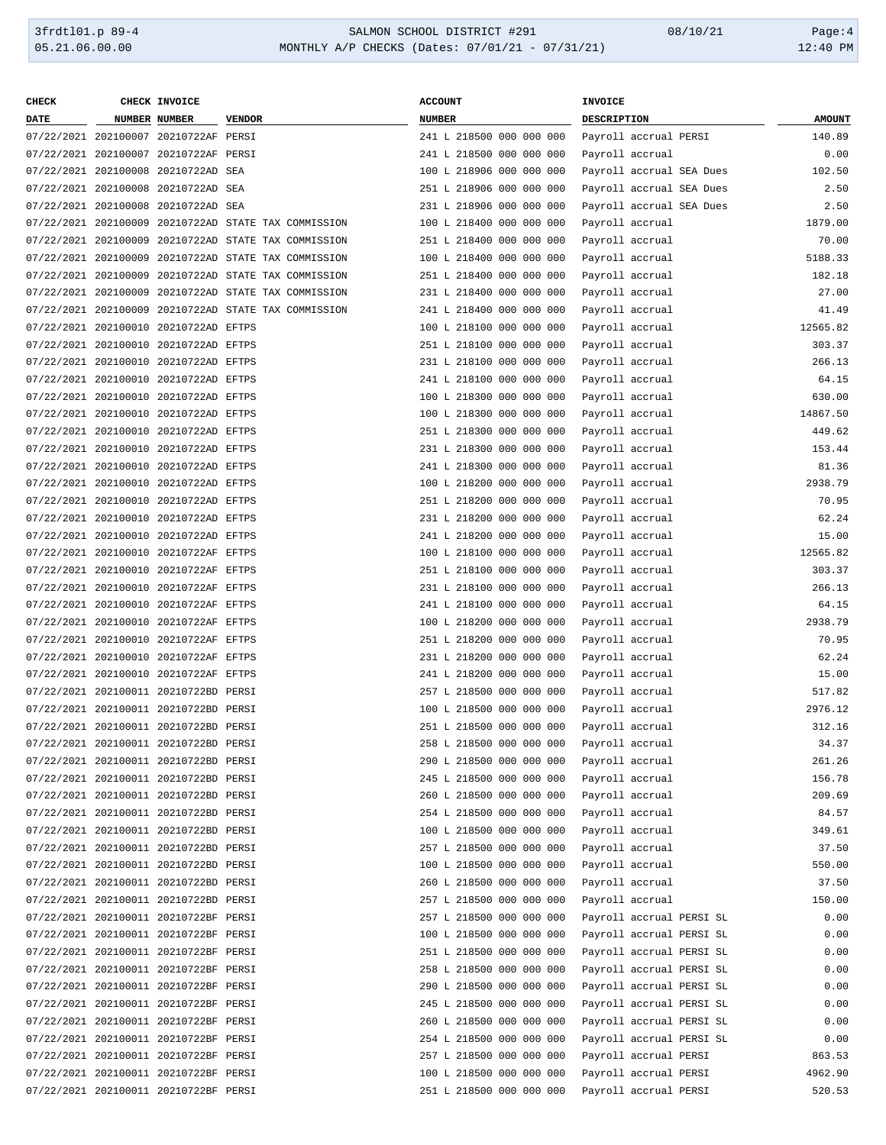| <b>CHECK</b> | CHECK INVOICE                         |                                                      | <b>ACCOUNT</b>           | INVOICE                  |               |
|--------------|---------------------------------------|------------------------------------------------------|--------------------------|--------------------------|---------------|
| <b>DATE</b>  | <b>NUMBER NUMBER</b>                  | <b>VENDOR</b>                                        | <b>NUMBER</b>            | DESCRIPTION              | <b>AMOUNT</b> |
|              | 07/22/2021 202100007 20210722AF PERSI |                                                      | 241 L 218500 000 000 000 | Payroll accrual PERSI    | 140.89        |
|              | 07/22/2021 202100007 20210722AF PERSI |                                                      | 241 L 218500 000 000 000 | Payroll accrual          | 0.00          |
|              | 07/22/2021 202100008 20210722AD SEA   |                                                      | 100 L 218906 000 000 000 | Payroll accrual SEA Dues | 102.50        |
|              | 07/22/2021 202100008 20210722AD SEA   |                                                      | 251 L 218906 000 000 000 | Payroll accrual SEA Dues | 2.50          |
|              | 07/22/2021 202100008 20210722AD SEA   |                                                      | 231 L 218906 000 000 000 | Payroll accrual SEA Dues | 2.50          |
|              |                                       | 07/22/2021 202100009 20210722AD STATE TAX COMMISSION | 100 L 218400 000 000 000 | Payroll accrual          | 1879.00       |
|              |                                       | 07/22/2021 202100009 20210722AD STATE TAX COMMISSION | 251 L 218400 000 000 000 | Payroll accrual          | 70.00         |
|              |                                       | 07/22/2021 202100009 20210722AD STATE TAX COMMISSION | 100 L 218400 000 000 000 | Payroll accrual          | 5188.33       |
|              |                                       |                                                      | 251 L 218400 000 000 000 |                          | 182.18        |
|              |                                       | 07/22/2021 202100009 20210722AD STATE TAX COMMISSION |                          | Payroll accrual          |               |
|              |                                       | 07/22/2021 202100009 20210722AD STATE TAX COMMISSION | 231 L 218400 000 000 000 | Payroll accrual          | 27.00         |
|              |                                       | 07/22/2021 202100009 20210722AD STATE TAX COMMISSION | 241 L 218400 000 000 000 | Payroll accrual          | 41.49         |
|              | 07/22/2021 202100010 20210722AD EFTPS |                                                      | 100 L 218100 000 000 000 | Payroll accrual          | 12565.82      |
|              | 07/22/2021 202100010 20210722AD EFTPS |                                                      | 251 L 218100 000 000 000 | Payroll accrual          | 303.37        |
|              | 07/22/2021 202100010 20210722AD EFTPS |                                                      | 231 L 218100 000 000 000 | Payroll accrual          | 266.13        |
|              | 07/22/2021 202100010 20210722AD EFTPS |                                                      | 241 L 218100 000 000 000 | Payroll accrual          | 64.15         |
|              | 07/22/2021 202100010 20210722AD EFTPS |                                                      | 100 L 218300 000 000 000 | Payroll accrual          | 630.00        |
|              | 07/22/2021 202100010 20210722AD EFTPS |                                                      | 100 L 218300 000 000 000 | Payroll accrual          | 14867.50      |
|              | 07/22/2021 202100010 20210722AD EFTPS |                                                      | 251 L 218300 000 000 000 | Payroll accrual          | 449.62        |
|              | 07/22/2021 202100010 20210722AD EFTPS |                                                      | 231 L 218300 000 000 000 | Payroll accrual          | 153.44        |
|              | 07/22/2021 202100010 20210722AD EFTPS |                                                      | 241 L 218300 000 000 000 | Payroll accrual          | 81.36         |
|              | 07/22/2021 202100010 20210722AD EFTPS |                                                      | 100 L 218200 000 000 000 | Payroll accrual          | 2938.79       |
|              | 07/22/2021 202100010 20210722AD EFTPS |                                                      | 251 L 218200 000 000 000 | Payroll accrual          | 70.95         |
|              | 07/22/2021 202100010 20210722AD EFTPS |                                                      | 231 L 218200 000 000 000 | Payroll accrual          | 62.24         |
|              | 07/22/2021 202100010 20210722AD EFTPS |                                                      | 241 L 218200 000 000 000 | Payroll accrual          | 15.00         |
|              | 07/22/2021 202100010 20210722AF EFTPS |                                                      | 100 L 218100 000 000 000 | Payroll accrual          | 12565.82      |
|              | 07/22/2021 202100010 20210722AF EFTPS |                                                      | 251 L 218100 000 000 000 | Payroll accrual          | 303.37        |
|              | 07/22/2021 202100010 20210722AF EFTPS |                                                      | 231 L 218100 000 000 000 | Payroll accrual          | 266.13        |
|              | 07/22/2021 202100010 20210722AF EFTPS |                                                      | 241 L 218100 000 000 000 | Payroll accrual          | 64.15         |
|              | 07/22/2021 202100010 20210722AF EFTPS |                                                      | 100 L 218200 000 000 000 | Payroll accrual          | 2938.79       |
|              | 07/22/2021 202100010 20210722AF EFTPS |                                                      | 251 L 218200 000 000 000 | Payroll accrual          | 70.95         |
|              | 07/22/2021 202100010 20210722AF EFTPS |                                                      | 231 L 218200 000 000 000 | Payroll accrual          | 62.24         |
|              |                                       |                                                      | 241 L 218200 000 000 000 |                          |               |
|              | 07/22/2021 202100010 20210722AF EFTPS |                                                      |                          | Payroll accrual          | 15.00         |
|              | 07/22/2021 202100011 20210722BD PERSI |                                                      | 257 L 218500 000 000 000 | Payroll accrual          | 517.82        |
|              | 07/22/2021 202100011 20210722BD PERSI |                                                      | 100 L 218500 000 000 000 | Payroll accrual          | 2976.12       |
|              | 07/22/2021 202100011 20210722BD PERSI |                                                      | 251 L 218500 000 000 000 | Payroll accrual          | 312.16        |
|              | 07/22/2021 202100011 20210722BD PERSI |                                                      | 258 L 218500 000 000 000 | Payroll accrual          | 34.37         |
|              | 07/22/2021 202100011 20210722BD PERSI |                                                      | 290 L 218500 000 000 000 | Payroll accrual          | 261.26        |
|              | 07/22/2021 202100011 20210722BD PERSI |                                                      | 245 L 218500 000 000 000 | Payroll accrual          | 156.78        |
|              | 07/22/2021 202100011 20210722BD PERSI |                                                      | 260 L 218500 000 000 000 | Payroll accrual          | 209.69        |
|              | 07/22/2021 202100011 20210722BD PERSI |                                                      | 254 L 218500 000 000 000 | Payroll accrual          | 84.57         |
|              | 07/22/2021 202100011 20210722BD PERSI |                                                      | 100 L 218500 000 000 000 | Payroll accrual          | 349.61        |
|              | 07/22/2021 202100011 20210722BD PERSI |                                                      | 257 L 218500 000 000 000 | Payroll accrual          | 37.50         |
|              | 07/22/2021 202100011 20210722BD PERSI |                                                      | 100 L 218500 000 000 000 | Payroll accrual          | 550.00        |
|              | 07/22/2021 202100011 20210722BD PERSI |                                                      | 260 L 218500 000 000 000 | Payroll accrual          | 37.50         |
|              | 07/22/2021 202100011 20210722BD PERSI |                                                      | 257 L 218500 000 000 000 | Payroll accrual          | 150.00        |
|              | 07/22/2021 202100011 20210722BF PERSI |                                                      | 257 L 218500 000 000 000 | Payroll accrual PERSI SL | 0.00          |
|              | 07/22/2021 202100011 20210722BF PERSI |                                                      | 100 L 218500 000 000 000 | Payroll accrual PERSI SL | 0.00          |
|              | 07/22/2021 202100011 20210722BF PERSI |                                                      | 251 L 218500 000 000 000 | Payroll accrual PERSI SL | 0.00          |
|              | 07/22/2021 202100011 20210722BF PERSI |                                                      | 258 L 218500 000 000 000 | Payroll accrual PERSI SL | 0.00          |
|              | 07/22/2021 202100011 20210722BF PERSI |                                                      | 290 L 218500 000 000 000 | Payroll accrual PERSI SL | 0.00          |
|              | 07/22/2021 202100011 20210722BF PERSI |                                                      | 245 L 218500 000 000 000 | Payroll accrual PERSI SL | 0.00          |
|              | 07/22/2021 202100011 20210722BF PERSI |                                                      | 260 L 218500 000 000 000 | Payroll accrual PERSI SL | 0.00          |
|              | 07/22/2021 202100011 20210722BF PERSI |                                                      | 254 L 218500 000 000 000 | Payroll accrual PERSI SL | 0.00          |
|              | 07/22/2021 202100011 20210722BF PERSI |                                                      | 257 L 218500 000 000 000 | Payroll accrual PERSI    | 863.53        |
|              | 07/22/2021 202100011 20210722BF PERSI |                                                      | 100 L 218500 000 000 000 | Payroll accrual PERSI    | 4962.90       |
|              | 07/22/2021 202100011 20210722BF PERSI |                                                      |                          |                          | 520.53        |
|              |                                       |                                                      | 251 L 218500 000 000 000 | Payroll accrual PERSI    |               |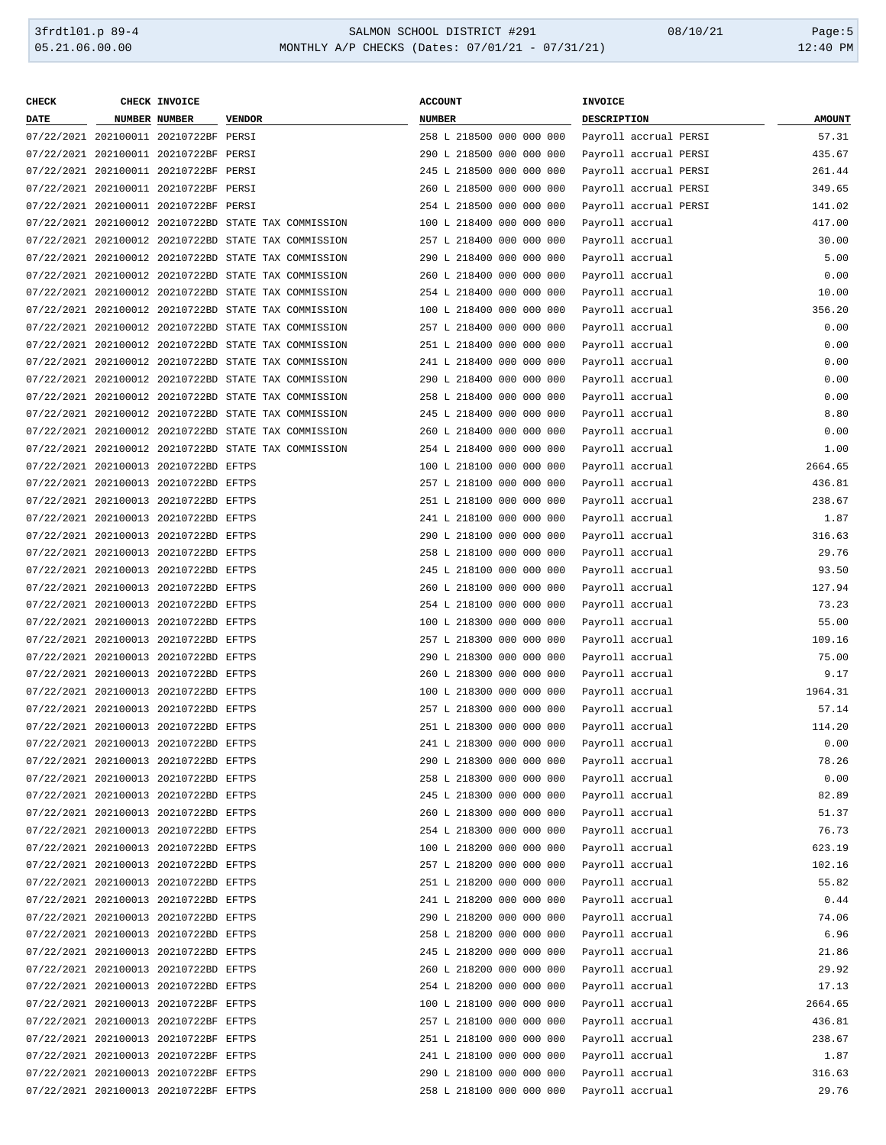| <b>CHECK</b> | CHECK INVOICE                                                                  |                                                      | <b>ACCOUNT</b>           | <b>INVOICE</b>        |               |
|--------------|--------------------------------------------------------------------------------|------------------------------------------------------|--------------------------|-----------------------|---------------|
| <b>DATE</b>  | <b>NUMBER NUMBER</b>                                                           | <b>VENDOR</b>                                        | <b>NUMBER</b>            | <b>DESCRIPTION</b>    | <b>AMOUNT</b> |
|              | 07/22/2021 202100011 20210722BF PERSI                                          |                                                      | 258 L 218500 000 000 000 | Payroll accrual PERSI | 57.31         |
|              | 07/22/2021 202100011 20210722BF PERSI                                          |                                                      | 290 L 218500 000 000 000 | Payroll accrual PERSI | 435.67        |
|              | 07/22/2021 202100011 20210722BF PERSI                                          |                                                      | 245 L 218500 000 000 000 | Payroll accrual PERSI | 261.44        |
|              | 07/22/2021 202100011 20210722BF PERSI                                          |                                                      | 260 L 218500 000 000 000 | Payroll accrual PERSI | 349.65        |
|              | 07/22/2021 202100011 20210722BF PERSI                                          |                                                      | 254 L 218500 000 000 000 | Payroll accrual PERSI | 141.02        |
|              |                                                                                | 07/22/2021 202100012 20210722BD STATE TAX COMMISSION | 100 L 218400 000 000 000 | Payroll accrual       | 417.00        |
|              |                                                                                | 07/22/2021 202100012 20210722BD STATE TAX COMMISSION | 257 L 218400 000 000 000 | Payroll accrual       | 30.00         |
|              |                                                                                | 07/22/2021 202100012 20210722BD STATE TAX COMMISSION | 290 L 218400 000 000 000 | Payroll accrual       | 5.00          |
|              |                                                                                | 07/22/2021 202100012 20210722BD STATE TAX COMMISSION | 260 L 218400 000 000 000 | Payroll accrual       | 0.00          |
|              |                                                                                | 07/22/2021 202100012 20210722BD STATE TAX COMMISSION | 254 L 218400 000 000 000 | Payroll accrual       | 10.00         |
|              |                                                                                | 07/22/2021 202100012 20210722BD STATE TAX COMMISSION | 100 L 218400 000 000 000 | Payroll accrual       | 356.20        |
|              |                                                                                | 07/22/2021 202100012 20210722BD STATE TAX COMMISSION | 257 L 218400 000 000 000 | Payroll accrual       | 0.00          |
|              |                                                                                | 07/22/2021 202100012 20210722BD STATE TAX COMMISSION | 251 L 218400 000 000 000 | Payroll accrual       | 0.00          |
|              |                                                                                | 07/22/2021 202100012 20210722BD STATE TAX COMMISSION | 241 L 218400 000 000 000 | Payroll accrual       | 0.00          |
|              |                                                                                | 07/22/2021 202100012 20210722BD STATE TAX COMMISSION | 290 L 218400 000 000 000 | Payroll accrual       | 0.00          |
|              |                                                                                | 07/22/2021 202100012 20210722BD STATE TAX COMMISSION | 258 L 218400 000 000 000 | Payroll accrual       | 0.00          |
|              |                                                                                | 07/22/2021 202100012 20210722BD STATE TAX COMMISSION | 245 L 218400 000 000 000 | Payroll accrual       | 8.80          |
|              |                                                                                | 07/22/2021 202100012 20210722BD STATE TAX COMMISSION | 260 L 218400 000 000 000 | Payroll accrual       | 0.00          |
|              |                                                                                | 07/22/2021 202100012 20210722BD STATE TAX COMMISSION | 254 L 218400 000 000 000 | Payroll accrual       | 1.00          |
|              | 07/22/2021 202100013 20210722BD EFTPS                                          |                                                      | 100 L 218100 000 000 000 | Payroll accrual       | 2664.65       |
|              |                                                                                |                                                      |                          | Payroll accrual       |               |
|              | 07/22/2021 202100013 20210722BD EFTPS<br>07/22/2021 202100013 20210722BD EFTPS |                                                      | 257 L 218100 000 000 000 |                       | 436.81        |
|              |                                                                                |                                                      | 251 L 218100 000 000 000 | Payroll accrual       | 238.67        |
|              | 07/22/2021 202100013 20210722BD EFTPS                                          |                                                      | 241 L 218100 000 000 000 | Payroll accrual       | 1.87          |
|              | 07/22/2021 202100013 20210722BD EFTPS                                          |                                                      | 290 L 218100 000 000 000 | Payroll accrual       | 316.63        |
|              | 07/22/2021 202100013 20210722BD EFTPS                                          |                                                      | 258 L 218100 000 000 000 | Payroll accrual       | 29.76         |
|              | 07/22/2021 202100013 20210722BD EFTPS                                          |                                                      | 245 L 218100 000 000 000 | Payroll accrual       | 93.50         |
|              | 07/22/2021 202100013 20210722BD EFTPS                                          |                                                      | 260 L 218100 000 000 000 | Payroll accrual       | 127.94        |
|              | 07/22/2021 202100013 20210722BD EFTPS                                          |                                                      | 254 L 218100 000 000 000 | Payroll accrual       | 73.23         |
|              | 07/22/2021 202100013 20210722BD EFTPS                                          |                                                      | 100 L 218300 000 000 000 | Payroll accrual       | 55.00         |
|              | 07/22/2021 202100013 20210722BD EFTPS                                          |                                                      | 257 L 218300 000 000 000 | Payroll accrual       | 109.16        |
|              | 07/22/2021 202100013 20210722BD EFTPS                                          |                                                      | 290 L 218300 000 000 000 | Payroll accrual       | 75.00         |
|              | 07/22/2021 202100013 20210722BD EFTPS                                          |                                                      | 260 L 218300 000 000 000 | Payroll accrual       | 9.17          |
|              | 07/22/2021 202100013 20210722BD EFTPS                                          |                                                      | 100 L 218300 000 000 000 | Payroll accrual       | 1964.31       |
|              | 07/22/2021 202100013 20210722BD EFTPS                                          |                                                      | 257 L 218300 000 000 000 | Payroll accrual       | 57.14         |
|              | 07/22/2021 202100013 20210722BD EFTPS                                          |                                                      | 251 L 218300 000 000 000 | Payroll accrual       | 114.20        |
|              | 07/22/2021 202100013 20210722BD EFTPS                                          |                                                      | 241 L 218300 000 000 000 | Pavroll accrual       | 0.00          |
|              | 07/22/2021 202100013 20210722BD EFTPS                                          |                                                      | 290 L 218300 000 000 000 | Payroll accrual       | 78.26         |
|              | 07/22/2021 202100013 20210722BD EFTPS                                          |                                                      | 258 L 218300 000 000 000 | Payroll accrual       | 0.00          |
|              | 07/22/2021 202100013 20210722BD EFTPS                                          |                                                      | 245 L 218300 000 000 000 | Payroll accrual       | 82.89         |
|              | 07/22/2021 202100013 20210722BD EFTPS                                          |                                                      | 260 L 218300 000 000 000 | Payroll accrual       | 51.37         |
|              | 07/22/2021 202100013 20210722BD EFTPS                                          |                                                      | 254 L 218300 000 000 000 | Payroll accrual       | 76.73         |
|              | 07/22/2021 202100013 20210722BD EFTPS                                          |                                                      | 100 L 218200 000 000 000 | Payroll accrual       | 623.19        |
|              | 07/22/2021 202100013 20210722BD EFTPS                                          |                                                      | 257 L 218200 000 000 000 | Payroll accrual       | 102.16        |
|              | 07/22/2021 202100013 20210722BD EFTPS                                          |                                                      | 251 L 218200 000 000 000 | Payroll accrual       | 55.82         |
|              | 07/22/2021 202100013 20210722BD EFTPS                                          |                                                      | 241 L 218200 000 000 000 | Payroll accrual       | 0.44          |
|              | 07/22/2021 202100013 20210722BD EFTPS                                          |                                                      | 290 L 218200 000 000 000 | Payroll accrual       | 74.06         |
|              | 07/22/2021 202100013 20210722BD EFTPS                                          |                                                      | 258 L 218200 000 000 000 | Payroll accrual       | 6.96          |
|              | 07/22/2021 202100013 20210722BD EFTPS                                          |                                                      | 245 L 218200 000 000 000 | Payroll accrual       | 21.86         |
|              | 07/22/2021 202100013 20210722BD EFTPS                                          |                                                      | 260 L 218200 000 000 000 | Payroll accrual       | 29.92         |
|              | 07/22/2021 202100013 20210722BD EFTPS                                          |                                                      | 254 L 218200 000 000 000 | Payroll accrual       | 17.13         |
|              | 07/22/2021 202100013 20210722BF EFTPS                                          |                                                      | 100 L 218100 000 000 000 | Payroll accrual       | 2664.65       |
|              | 07/22/2021 202100013 20210722BF EFTPS                                          |                                                      | 257 L 218100 000 000 000 | Payroll accrual       | 436.81        |
|              | 07/22/2021 202100013 20210722BF EFTPS                                          |                                                      | 251 L 218100 000 000 000 | Payroll accrual       | 238.67        |
|              | 07/22/2021 202100013 20210722BF EFTPS                                          |                                                      | 241 L 218100 000 000 000 | Payroll accrual       | 1.87          |
|              | 07/22/2021 202100013 20210722BF EFTPS                                          |                                                      | 290 L 218100 000 000 000 | Payroll accrual       | 316.63        |
|              | 07/22/2021 202100013 20210722BF EFTPS                                          |                                                      | 258 L 218100 000 000 000 | Payroll accrual       | 29.76         |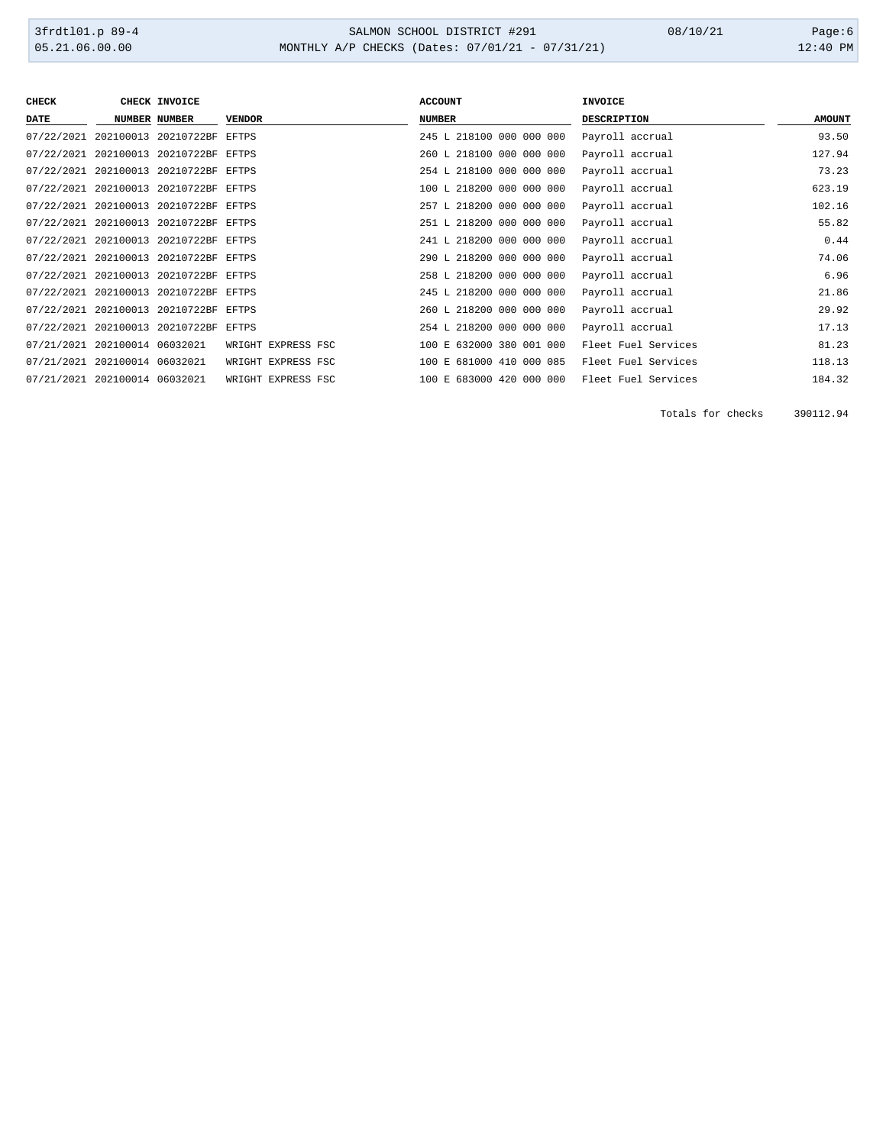# 3frdtl01.p 89-4 <br>
36.00.00 SALMON SCHOOL DISTRICT #291 08/10/21 Page:6<br>
05.21.06.00.00 MONTHLY A/P CHECKS (Dates: 07/01/21 - 07/31/21) 08/10/21 12:40 PM MONTHLY A/P CHECKS (Dates: 07/01/21 - 07/31/21)

| <b>CHECK</b>                  |                    | CHECK INVOICE                         |                    | <b>ACCOUNT</b>           | <b>INVOICE</b>      |               |
|-------------------------------|--------------------|---------------------------------------|--------------------|--------------------------|---------------------|---------------|
| DATE                          |                    | <b>NUMBER NUMBER</b>                  | <b>VENDOR</b>      | <b>NUMBER</b>            | <b>DESCRIPTION</b>  | <b>AMOUNT</b> |
|                               |                    | 07/22/2021 202100013 20210722BF EFTPS |                    | 245 L 218100 000 000 000 | Payroll accrual     | 93.50         |
|                               |                    | 07/22/2021 202100013 20210722BF EFTPS |                    | 260 L 218100 000 000 000 | Payroll accrual     | 127.94        |
|                               |                    | 07/22/2021 202100013 20210722BF EFTPS |                    | 254 L 218100 000 000 000 | Payroll accrual     | 73.23         |
|                               |                    | 07/22/2021 202100013 20210722BF EFTPS |                    | 100 L 218200 000 000 000 | Payroll accrual     | 623.19        |
|                               |                    | 07/22/2021 202100013 20210722BF EFTPS |                    | 257 L 218200 000 000 000 | Payroll accrual     | 102.16        |
|                               |                    | 07/22/2021 202100013 20210722BF EFTPS |                    | 251 L 218200 000 000 000 | Payroll accrual     | 55.82         |
|                               |                    | 07/22/2021 202100013 20210722BF EFTPS |                    | 241 L 218200 000 000 000 | Payroll accrual     | 0.44          |
|                               |                    | 07/22/2021 202100013 20210722BF EFTPS |                    | 290 L 218200 000 000 000 | Payroll accrual     | 74.06         |
|                               |                    | 07/22/2021 202100013 20210722BF EFTPS |                    | 258 L 218200 000 000 000 | Payroll accrual     | 6.96          |
|                               |                    | 07/22/2021 202100013 20210722BF EFTPS |                    | 245 L 218200 000 000 000 | Payroll accrual     | 21.86         |
|                               |                    | 07/22/2021 202100013 20210722BF EFTPS |                    | 260 L 218200 000 000 000 | Payroll accrual     | 29.92         |
|                               |                    | 07/22/2021 202100013 20210722BF EFTPS |                    | 254 L 218200 000 000 000 | Payroll accrual     | 17.13         |
| 07/21/2021 202100014 06032021 |                    |                                       | WRIGHT EXPRESS FSC | 100 E 632000 380 001 000 | Fleet Fuel Services | 81.23         |
| 07/21/2021                    | 202100014 06032021 |                                       | WRIGHT EXPRESS FSC | 100 E 681000 410 000 085 | Fleet Fuel Services | 118.13        |
| 07/21/2021 202100014 06032021 |                    |                                       | WRIGHT EXPRESS FSC | 100 E 683000 420 000 000 | Fleet Fuel Services | 184.32        |

Totals for checks 390112.94